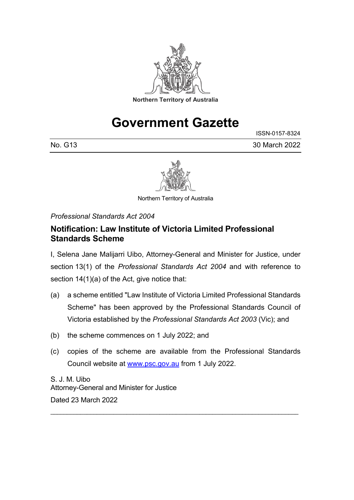

# **Government Gazette**

No. G13 30 March 2022

ISSN-0157-8324



Northern Territory of Australia

*Professional Standards Act 2004*

## **Notification: Law Institute of Victoria Limited Professional Standards Scheme**

I, Selena Jane Malijarri Uibo, Attorney-General and Minister for Justice, under section 13(1) of the *Professional Standards Act 2004* and with reference to section 14(1)(a) of the Act, give notice that:

- (a) a scheme entitled "Law Institute of Victoria Limited Professional Standards Scheme" has been approved by the Professional Standards Council of Victoria established by the *Professional Standards Act 2003* (Vic); and
- (b) the scheme commences on 1 July 2022; and
- (c) copies of the scheme are available from the Professional Standards Council website at [www.psc.gov.au](http://www.psc.gov.au/) from 1 July 2022.

\_\_\_\_\_\_\_\_\_\_\_\_\_\_\_\_\_\_\_\_\_\_\_\_\_\_\_\_\_\_\_\_\_\_\_\_\_\_\_\_\_\_\_\_\_\_\_\_\_\_\_\_\_\_\_\_\_\_\_\_\_\_\_\_\_\_\_\_\_\_\_\_\_\_\_

S. J. M. Uibo Attorney-General and Minister for Justice Dated 23 March 2022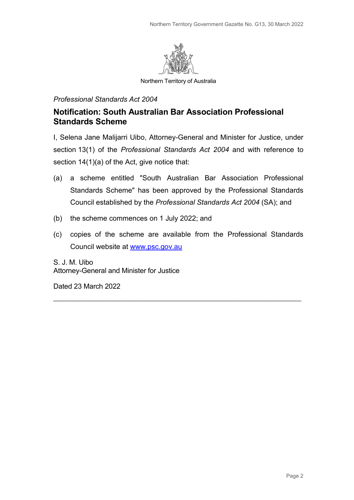

Northern Territory of Australia

#### *Professional Standards Act 2004*

## **Notification: South Australian Bar Association Professional Standards Scheme**

I, Selena Jane Malijarri Uibo, Attorney-General and Minister for Justice, under section 13(1) of the *Professional Standards Act 2004* and with reference to section 14(1)(a) of the Act, give notice that:

- (a) a scheme entitled "South Australian Bar Association Professional Standards Scheme" has been approved by the Professional Standards Council established by the *Professional Standards Act 2004* (SA); and
- (b) the scheme commences on 1 July 2022; and
- (c) copies of the scheme are available from the Professional Standards Council website at [www.psc.gov.au](http://www.psc.gov.au/)

\_\_\_\_\_\_\_\_\_\_\_\_\_\_\_\_\_\_\_\_\_\_\_\_\_\_\_\_\_\_\_\_\_\_\_\_\_\_\_\_\_\_\_\_\_\_\_\_\_\_\_\_\_\_\_\_\_\_\_\_\_\_\_\_\_\_\_\_\_\_\_\_\_\_\_

S. J. M. Uibo Attorney-General and Minister for Justice

Dated 23 March 2022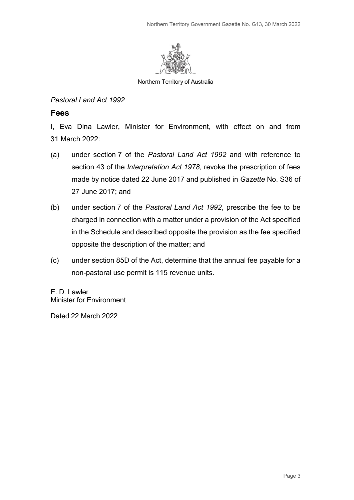

Northern Territory of Australia

#### *Pastoral Land Act 1992*

### **Fees**

I, Eva Dina Lawler, Minister for Environment, with effect on and from 31 March 2022:

- (a) under section 7 of the *Pastoral Land Act 1992* and with reference to section 43 of the *Interpretation Act 1978,* revoke the prescription of fees made by notice dated 22 June 2017 and published in *Gazette* No. S36 of 27 June 2017; and
- (b) under section 7 of the *Pastoral Land Act 1992*, prescribe the fee to be charged in connection with a matter under a provision of the Act specified in the Schedule and described opposite the provision as the fee specified opposite the description of the matter; and
- (c) under section 85D of the Act, determine that the annual fee payable for a non-pastoral use permit is 115 revenue units.

E. D. Lawler Minister for Environment

Dated 22 March 2022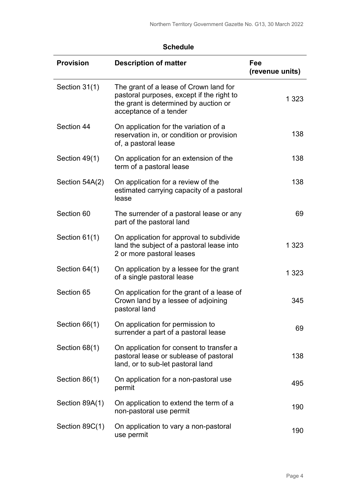| <b>Provision</b> | <b>Description of matter</b>                                                                                                                           | Fee<br>(revenue units) |
|------------------|--------------------------------------------------------------------------------------------------------------------------------------------------------|------------------------|
| Section 31(1)    | The grant of a lease of Crown land for<br>pastoral purposes, except if the right to<br>the grant is determined by auction or<br>acceptance of a tender | 1 3 2 3                |
| Section 44       | On application for the variation of a<br>reservation in, or condition or provision<br>of, a pastoral lease                                             | 138                    |
| Section 49(1)    | On application for an extension of the<br>term of a pastoral lease                                                                                     | 138                    |
| Section 54A(2)   | On application for a review of the<br>estimated carrying capacity of a pastoral<br>lease                                                               | 138                    |
| Section 60       | The surrender of a pastoral lease or any<br>part of the pastoral land                                                                                  | 69                     |
| Section 61(1)    | On application for approval to subdivide<br>land the subject of a pastoral lease into<br>2 or more pastoral leases                                     | 1 3 2 3                |
| Section 64(1)    | On application by a lessee for the grant<br>of a single pastoral lease                                                                                 | 1 3 2 3                |
| Section 65       | On application for the grant of a lease of<br>Crown land by a lessee of adjoining<br>pastoral land                                                     | 345                    |
| Section 66(1)    | On application for permission to<br>surrender a part of a pastoral lease                                                                               | 69                     |
| Section 68(1)    | On application for consent to transfer a<br>pastoral lease or sublease of pastoral<br>land, or to sub-let pastoral land                                | 138                    |
| Section 86(1)    | On application for a non-pastoral use<br>permit                                                                                                        | 495                    |
| Section 89A(1)   | On application to extend the term of a<br>non-pastoral use permit                                                                                      | 190                    |
| Section 89C(1)   | On application to vary a non-pastoral<br>use permit                                                                                                    | 190                    |

## **Schedule**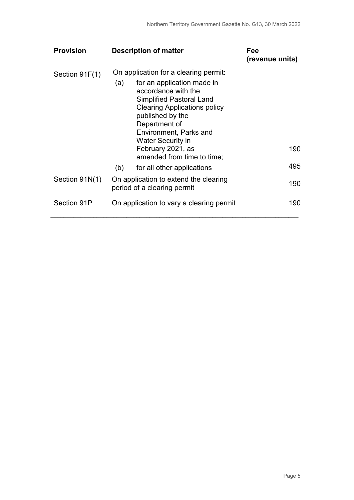| <b>Provision</b> | <b>Description of matter</b>                                                                                                                                                                                                                                                                | Fee<br>(revenue units) |
|------------------|---------------------------------------------------------------------------------------------------------------------------------------------------------------------------------------------------------------------------------------------------------------------------------------------|------------------------|
| Section 91F(1)   | On application for a clearing permit:<br>for an application made in<br>(a)<br>accordance with the<br><b>Simplified Pastoral Land</b><br><b>Clearing Applications policy</b><br>published by the<br>Department of<br>Environment, Parks and<br><b>Water Security in</b><br>February 2021, as | 190                    |
|                  | amended from time to time;<br>(b)<br>for all other applications                                                                                                                                                                                                                             | 495                    |
| Section 91N(1)   | On application to extend the clearing<br>period of a clearing permit                                                                                                                                                                                                                        | 190                    |
| Section 91P      | On application to vary a clearing permit                                                                                                                                                                                                                                                    | 190                    |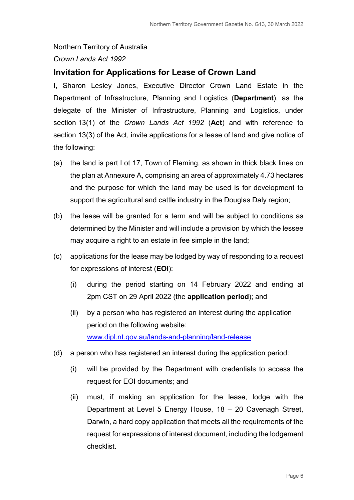# Northern Territory of Australia *Crown Lands Act 1992*

## **Invitation for Applications for Lease of Crown Land**

I, Sharon Lesley Jones, Executive Director Crown Land Estate in the Department of Infrastructure, Planning and Logistics (**Department**), as the delegate of the Minister of Infrastructure, Planning and Logistics, under section 13(1) of the *Crown Lands Act 1992* (**Act**) and with reference to section 13(3) of the Act, invite applications for a lease of land and give notice of the following:

- (a) the land is part Lot 17, Town of Fleming, as shown in thick black lines on the plan at Annexure A, comprising an area of approximately 4.73 hectares and the purpose for which the land may be used is for development to support the agricultural and cattle industry in the Douglas Daly region;
- (b) the lease will be granted for a term and will be subject to conditions as determined by the Minister and will include a provision by which the lessee may acquire a right to an estate in fee simple in the land;
- (c) applications for the lease may be lodged by way of responding to a request for expressions of interest (**EOI**):
	- (i) during the period starting on 14 February 2022 and ending at 2pm CST on 29 April 2022 (the **application period**); and
	- (ii) by a person who has registered an interest during the application period on the following website: [www.dipl.nt.gov.au/lands-and-planning/land-release](http://www.dipl.nt.gov.au/lands-and-planning/land-release)
- (d) a person who has registered an interest during the application period:
	- (i) will be provided by the Department with credentials to access the request for EOI documents; and
	- (ii) must, if making an application for the lease, lodge with the Department at Level 5 Energy House, 18 – 20 Cavenagh Street, Darwin, a hard copy application that meets all the requirements of the request for expressions of interest document, including the lodgement checklist.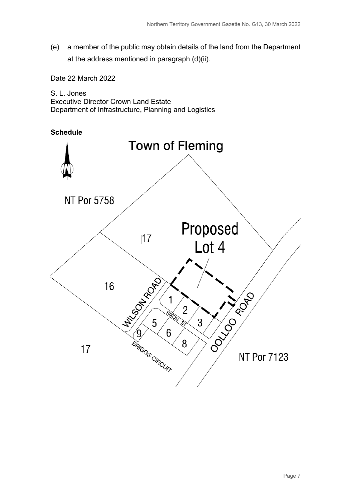(e) a member of the public may obtain details of the land from the Department at the address mentioned in paragraph (d)(ii).

Date 22 March 2022

S. L. Jones Executive Director Crown Land Estate Department of Infrastructure, Planning and Logistics



Page 7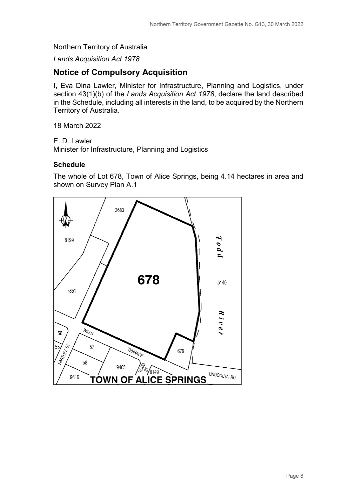#### Northern Territory of Australia

*Lands Acquisition Act 1978*

## **Notice of Compulsory Acquisition**

I, Eva Dina Lawler, Minister for Infrastructure, Planning and Logistics, under section 43(1)(b) of the *Lands Acquisition Act 1978*, declare the land described in the Schedule, including all interests in the land, to be acquired by the Northern Territory of Australia.

18 March 2022

E. D. Lawler

Minister for Infrastructure, Planning and Logistics

#### **Schedule**

The whole of Lot 678, Town of Alice Springs, being 4.14 hectares in area and shown on Survey Plan A.1

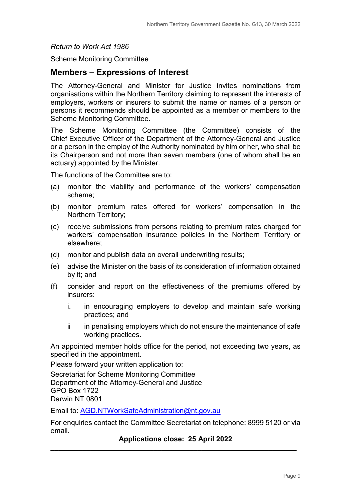#### *Return to Work Act 1986*

Scheme Monitoring Committee

## **Members – Expressions of Interest**

The Attorney-General and Minister for Justice invites nominations from organisations within the Northern Territory claiming to represent the interests of employers, workers or insurers to submit the name or names of a person or persons it recommends should be appointed as a member or members to the Scheme Monitoring Committee.

The Scheme Monitoring Committee (the Committee) consists of the Chief Executive Officer of the Department of the Attorney-General and Justice or a person in the employ of the Authority nominated by him or her, who shall be its Chairperson and not more than seven members (one of whom shall be an actuary) appointed by the Minister.

The functions of the Committee are to:

- (a) monitor the viability and performance of the workers' compensation scheme;
- (b) monitor premium rates offered for workers' compensation in the Northern Territory;
- (c) receive submissions from persons relating to premium rates charged for workers' compensation insurance policies in the Northern Territory or elsewhere;
- (d) monitor and publish data on overall underwriting results;
- (e) advise the Minister on the basis of its consideration of information obtained by it; and
- (f) consider and report on the effectiveness of the premiums offered by insurers:
	- i. in encouraging employers to develop and maintain safe working practices; and
	- ii in penalising employers which do not ensure the maintenance of safe working practices.

An appointed member holds office for the period, not exceeding two years, as specified in the appointment.

Please forward your written application to:

Secretariat for Scheme Monitoring Committee Department of the Attorney-General and Justice GPO Box 1722 Darwin NT 0801

Email to: [AGD.NTWorkSafeAdministration@nt.gov.au](mailto:AGD.NTWorkSafeAdministration@nt.gov.au) 

For enquiries contact the Committee Secretariat on telephone: 8999 5120 or via email.

**Applications close: 25 April 2022** \_\_\_\_\_\_\_\_\_\_\_\_\_\_\_\_\_\_\_\_\_\_\_\_\_\_\_\_\_\_\_\_\_\_\_\_\_\_\_\_\_\_\_\_\_\_\_\_\_\_\_\_\_\_\_\_\_\_\_\_\_\_